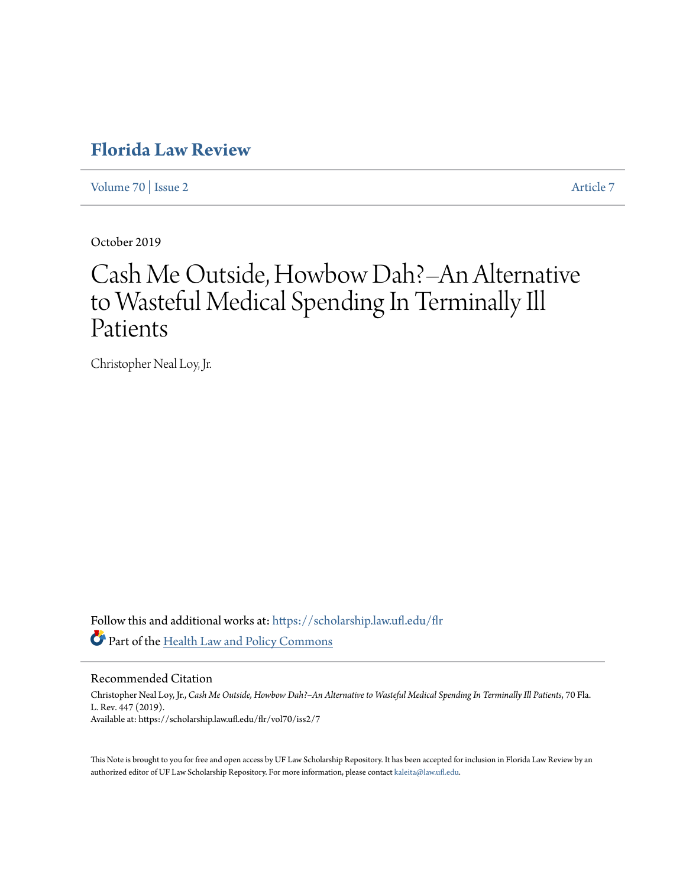## **[Florida Law Review](https://scholarship.law.ufl.edu/flr?utm_source=scholarship.law.ufl.edu%2Fflr%2Fvol70%2Fiss2%2F7&utm_medium=PDF&utm_campaign=PDFCoverPages)**

[Volume 70](https://scholarship.law.ufl.edu/flr/vol70?utm_source=scholarship.law.ufl.edu%2Fflr%2Fvol70%2Fiss2%2F7&utm_medium=PDF&utm_campaign=PDFCoverPages) | [Issue 2](https://scholarship.law.ufl.edu/flr/vol70/iss2?utm_source=scholarship.law.ufl.edu%2Fflr%2Fvol70%2Fiss2%2F7&utm_medium=PDF&utm_campaign=PDFCoverPages) [Article 7](https://scholarship.law.ufl.edu/flr/vol70/iss2/7?utm_source=scholarship.law.ufl.edu%2Fflr%2Fvol70%2Fiss2%2F7&utm_medium=PDF&utm_campaign=PDFCoverPages)

October 2019

# Cash Me Outside, Howbow Dah?–An Alternative to Wasteful Medical Spending In Terminally Ill Patients

Christopher Neal Loy, Jr.

Follow this and additional works at: [https://scholarship.law.ufl.edu/flr](https://scholarship.law.ufl.edu/flr?utm_source=scholarship.law.ufl.edu%2Fflr%2Fvol70%2Fiss2%2F7&utm_medium=PDF&utm_campaign=PDFCoverPages) Part of the [Health Law and Policy Commons](http://network.bepress.com/hgg/discipline/901?utm_source=scholarship.law.ufl.edu%2Fflr%2Fvol70%2Fiss2%2F7&utm_medium=PDF&utm_campaign=PDFCoverPages)

Recommended Citation

Christopher Neal Loy, Jr., *Cash Me Outside, Howbow Dah?–An Alternative to Wasteful Medical Spending In Terminally Ill Patients*, 70 Fla. L. Rev. 447 (2019). Available at: https://scholarship.law.ufl.edu/flr/vol70/iss2/7

This Note is brought to you for free and open access by UF Law Scholarship Repository. It has been accepted for inclusion in Florida Law Review by an authorized editor of UF Law Scholarship Repository. For more information, please contact [kaleita@law.ufl.edu.](mailto:kaleita@law.ufl.edu)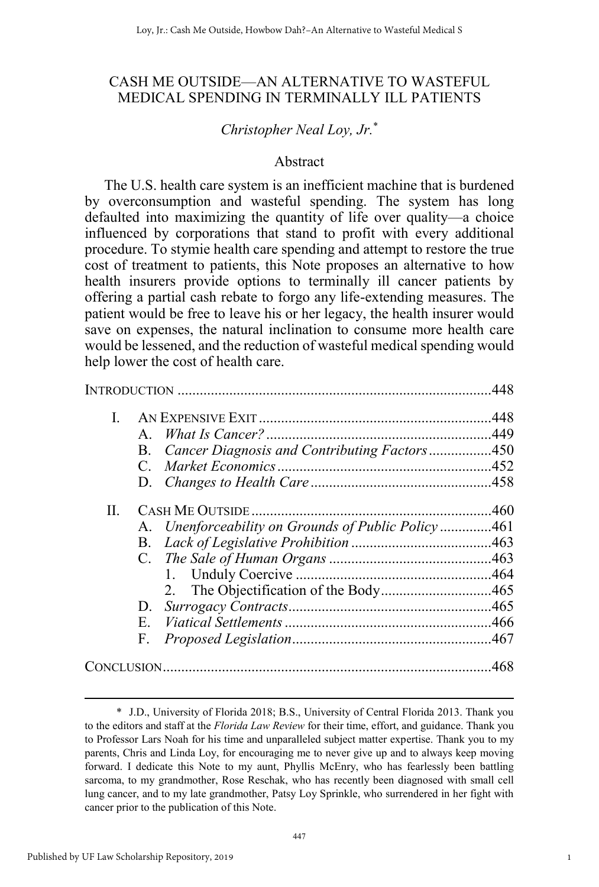## CASH ME OUTSIDE—AN ALTERNATIVE TO WASTEFUL MEDICAL SPENDING IN TERMINALLY ILL PATIENTS

## *Christopher Neal Loy, Jr.*\*

#### Abstract

The U.S. health care system is an inefficient machine that is burdened by overconsumption and wasteful spending. The system has long defaulted into maximizing the quantity of life over quality—a choice influenced by corporations that stand to profit with every additional procedure. To stymie health care spending and attempt to restore the true cost of treatment to patients, this Note proposes an alternative to how health insurers provide options to terminally ill cancer patients by offering a partial cash rebate to forgo any life-extending measures. The patient would be free to leave his or her legacy, the health insurer would save on expenses, the natural inclination to consume more health care would be lessened, and the reduction of wasteful medical spending would help lower the cost of health care.

|    |                                                     | 448 |
|----|-----------------------------------------------------|-----|
| L  |                                                     |     |
|    | $\mathbf{A}$                                        |     |
|    | Cancer Diagnosis and Contributing Factors450<br>B.  |     |
|    | $\mathcal{C}$                                       |     |
|    |                                                     |     |
| П. |                                                     |     |
|    | A. Unenforceability on Grounds of Public Policy 461 |     |
|    |                                                     |     |
|    |                                                     |     |
|    |                                                     |     |
|    |                                                     |     |
|    | D.                                                  |     |
|    | E.                                                  |     |
|    | F.                                                  |     |
|    |                                                     |     |

1

 <sup>\*</sup> J.D., University of Florida 2018; B.S., University of Central Florida 2013. Thank you to the editors and staff at the *Florida Law Review* for their time, effort, and guidance. Thank you to Professor Lars Noah for his time and unparalleled subject matter expertise. Thank you to my parents, Chris and Linda Loy, for encouraging me to never give up and to always keep moving forward. I dedicate this Note to my aunt, Phyllis McEnry, who has fearlessly been battling sarcoma, to my grandmother, Rose Reschak, who has recently been diagnosed with small cell lung cancer, and to my late grandmother, Patsy Loy Sprinkle, who surrendered in her fight with cancer prior to the publication of this Note.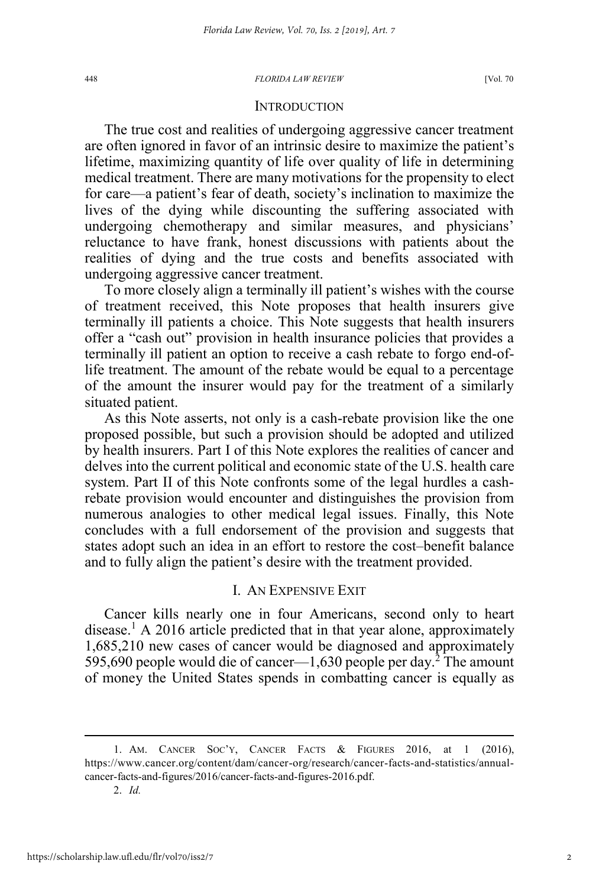#### **INTRODUCTION**

The true cost and realities of undergoing aggressive cancer treatment are often ignored in favor of an intrinsic desire to maximize the patient's lifetime, maximizing quantity of life over quality of life in determining medical treatment. There are many motivations for the propensity to elect for care—a patient's fear of death, society's inclination to maximize the lives of the dying while discounting the suffering associated with undergoing chemotherapy and similar measures, and physicians' reluctance to have frank, honest discussions with patients about the realities of dying and the true costs and benefits associated with undergoing aggressive cancer treatment.

To more closely align a terminally ill patient's wishes with the course of treatment received, this Note proposes that health insurers give terminally ill patients a choice. This Note suggests that health insurers offer a "cash out" provision in health insurance policies that provides a terminally ill patient an option to receive a cash rebate to forgo end-oflife treatment. The amount of the rebate would be equal to a percentage of the amount the insurer would pay for the treatment of a similarly situated patient.

As this Note asserts, not only is a cash-rebate provision like the one proposed possible, but such a provision should be adopted and utilized by health insurers. Part I of this Note explores the realities of cancer and delves into the current political and economic state of the U.S. health care system. Part II of this Note confronts some of the legal hurdles a cashrebate provision would encounter and distinguishes the provision from numerous analogies to other medical legal issues. Finally, this Note concludes with a full endorsement of the provision and suggests that states adopt such an idea in an effort to restore the cost–benefit balance and to fully align the patient's desire with the treatment provided.

#### I. AN EXPENSIVE EXIT

Cancer kills nearly one in four Americans, second only to heart disease.<sup>1</sup> A 2016 article predicted that in that year alone, approximately 1,685,210 new cases of cancer would be diagnosed and approximately 595,690 people would die of cancer—1,630 people per day.<sup>2</sup> The amount of money the United States spends in combatting cancer is equally as

<sup>1.</sup> AM. CANCER SOC'Y, CANCER FACTS  $\&$  FIGURES 2016, at 1 (2016), https://www.cancer.org/content/dam/cancer-org/research/cancer-facts-and-statistics/annualcancer-facts-and-figures/2016/cancer-facts-and-figures-2016.pdf.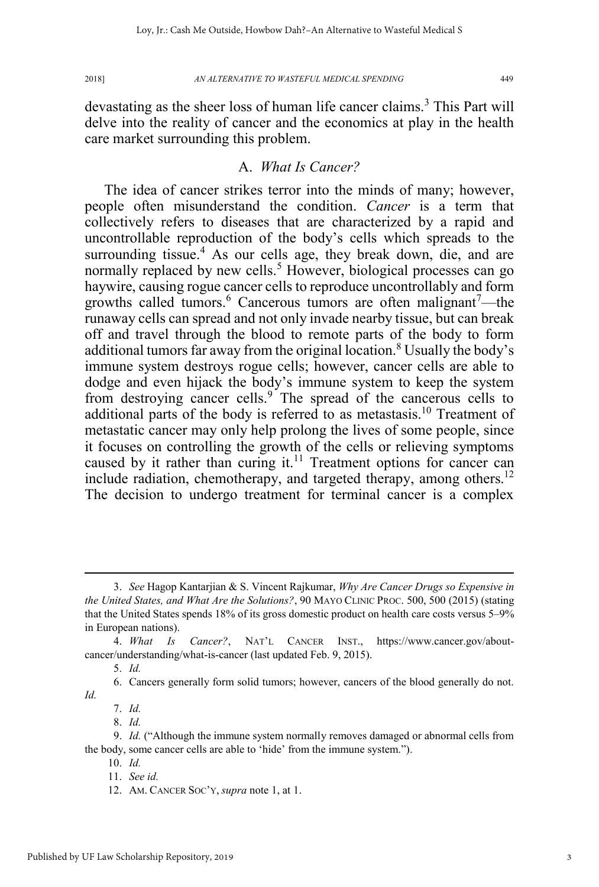devastating as the sheer loss of human life cancer claims.<sup>3</sup> This Part will delve into the reality of cancer and the economics at play in the health care market surrounding this problem.

## A. *What Is Cancer?*

The idea of cancer strikes terror into the minds of many; however, people often misunderstand the condition. *Cancer* is a term that collectively refers to diseases that are characterized by a rapid and uncontrollable reproduction of the body's cells which spreads to the surrounding tissue.<sup>4</sup> As our cells age, they break down, die, and are normally replaced by new cells.<sup>5</sup> However, biological processes can go haywire, causing rogue cancer cells to reproduce uncontrollably and form growths called tumors.<sup>6</sup> Cancerous tumors are often malignant<sup>7</sup>—the runaway cells can spread and not only invade nearby tissue, but can break off and travel through the blood to remote parts of the body to form additional tumors far away from the original location.<sup>8</sup> Usually the body's immune system destroys rogue cells; however, cancer cells are able to dodge and even hijack the body's immune system to keep the system from destroying cancer cells.<sup>9</sup> The spread of the cancerous cells to additional parts of the body is referred to as metastasis.<sup>10</sup> Treatment of metastatic cancer may only help prolong the lives of some people, since it focuses on controlling the growth of the cells or relieving symptoms caused by it rather than curing it.<sup>11</sup> Treatment options for cancer can include radiation, chemotherapy, and targeted therapy, among others.<sup>12</sup> The decision to undergo treatment for terminal cancer is a complex

 <sup>3.</sup> *See* Hagop Kantarjian & S. Vincent Rajkumar, *Why Are Cancer Drugs so Expensive in the United States, and What Are the Solutions?*, 90 MAYO CLINIC PROC. 500, 500 (2015) (stating that the United States spends 18% of its gross domestic product on health care costs versus 5–9% in European nations).

<sup>4.</sup> *What Is Cancer?*, NAT'L CANCER INST., https://www.cancer.gov/aboutcancer/understanding/what-is-cancer (last updated Feb. 9, 2015).

<sup>5.</sup> *Id.*

<sup>6.</sup> Cancers generally form solid tumors; however, cancers of the blood generally do not. *Id.*

<sup>8.</sup> *Id.*

<sup>9.</sup> *Id.* ("Although the immune system normally removes damaged or abnormal cells from the body, some cancer cells are able to 'hide' from the immune system.").

<sup>10.</sup> *Id.*

<sup>11.</sup> *See id.*

<sup>12.</sup> AM. CANCER SOC'Y, *supra* note 1, at 1.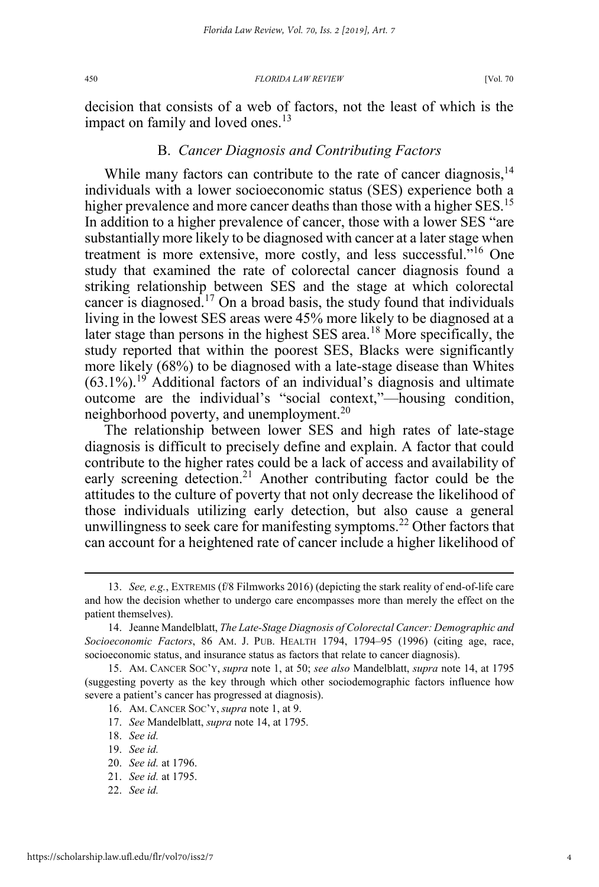decision that consists of a web of factors, not the least of which is the impact on family and loved ones.<sup>13</sup>

## B. *Cancer Diagnosis and Contributing Factors*

While many factors can contribute to the rate of cancer diagnosis.<sup>14</sup> individuals with a lower socioeconomic status (SES) experience both a higher prevalence and more cancer deaths than those with a higher SES.<sup>15</sup> In addition to a higher prevalence of cancer, those with a lower SES "are substantially more likely to be diagnosed with cancer at a later stage when treatment is more extensive, more costly, and less successful."<sup>16</sup> One study that examined the rate of colorectal cancer diagnosis found a striking relationship between SES and the stage at which colorectal cancer is diagnosed.<sup>17</sup> On a broad basis, the study found that individuals living in the lowest SES areas were 45% more likely to be diagnosed at a later stage than persons in the highest SES area.<sup>18</sup> More specifically, the study reported that within the poorest SES, Blacks were significantly more likely (68%) to be diagnosed with a late-stage disease than Whites  $(63.1\%)$ <sup>19</sup> Additional factors of an individual's diagnosis and ultimate outcome are the individual's "social context,"—housing condition, neighborhood poverty, and unemployment.<sup>20</sup>

The relationship between lower SES and high rates of late-stage diagnosis is difficult to precisely define and explain. A factor that could contribute to the higher rates could be a lack of access and availability of early screening detection.<sup>21</sup> Another contributing factor could be the attitudes to the culture of poverty that not only decrease the likelihood of those individuals utilizing early detection, but also cause a general unwillingness to seek care for manifesting symptoms.<sup>22</sup> Other factors that can account for a heightened rate of cancer include a higher likelihood of

22. *See id.*

 <sup>13.</sup> *See, e.g.*, EXTREMIS (f/8 Filmworks 2016) (depicting the stark reality of end-of-life care and how the decision whether to undergo care encompasses more than merely the effect on the patient themselves).

<sup>14.</sup> Jeanne Mandelblatt, *The Late-Stage Diagnosis of Colorectal Cancer: Demographic and Socioeconomic Factors*, 86 AM. J. PUB. HEALTH 1794, 1794–95 (1996) (citing age, race, socioeconomic status, and insurance status as factors that relate to cancer diagnosis).

<sup>15.</sup> AM. CANCER SOC'Y, *supra* note 1, at 50; *see also* Mandelblatt, *supra* note 14, at 1795 (suggesting poverty as the key through which other sociodemographic factors influence how severe a patient's cancer has progressed at diagnosis).

<sup>16.</sup> AM. CANCER SOC'Y, *supra* note 1, at 9.

<sup>17.</sup> *See* Mandelblatt, *supra* note 14, at 1795.

<sup>18.</sup> *See id.*

<sup>19.</sup> *See id.*

<sup>20.</sup> *See id.* at 1796.

<sup>21.</sup> *See id.* at 1795.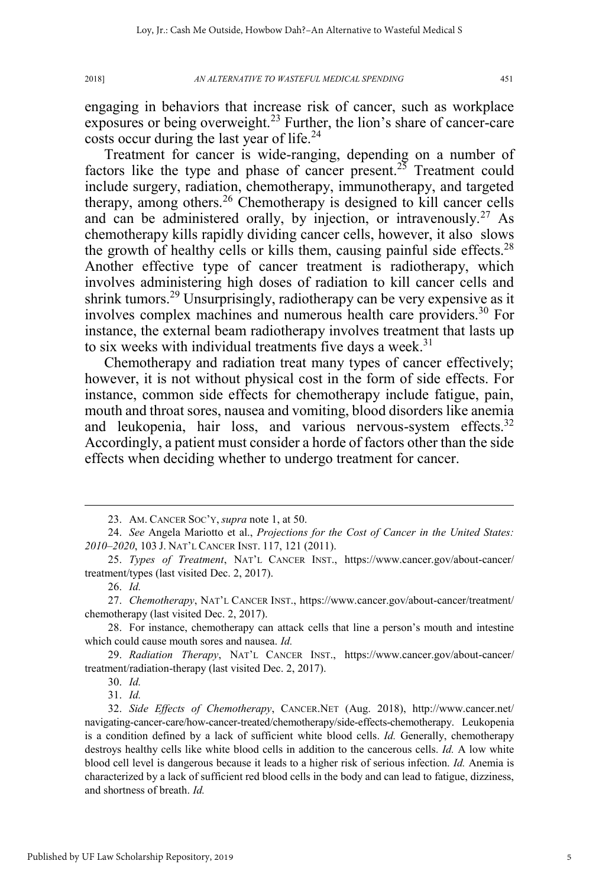engaging in behaviors that increase risk of cancer, such as workplace exposures or being overweight.<sup>23</sup> Further, the lion's share of cancer-care costs occur during the last year of life.<sup>24</sup>

Treatment for cancer is wide-ranging, depending on a number of factors like the type and phase of cancer present.<sup>25</sup> Treatment could include surgery, radiation, chemotherapy, immunotherapy, and targeted therapy, among others.<sup>26</sup> Chemotherapy is designed to kill cancer cells and can be administered orally, by injection, or intravenously.<sup>27</sup> As chemotherapy kills rapidly dividing cancer cells, however, it also slows the growth of healthy cells or kills them, causing painful side effects.<sup>28</sup> Another effective type of cancer treatment is radiotherapy, which involves administering high doses of radiation to kill cancer cells and shrink tumors.<sup>29</sup> Unsurprisingly, radiotherapy can be very expensive as it involves complex machines and numerous health care providers.<sup>30</sup> For instance, the external beam radiotherapy involves treatment that lasts up to six weeks with individual treatments five days a week.<sup>31</sup>

Chemotherapy and radiation treat many types of cancer effectively; however, it is not without physical cost in the form of side effects. For instance, common side effects for chemotherapy include fatigue, pain, mouth and throat sores, nausea and vomiting, blood disorders like anemia and leukopenia, hair loss, and various nervous-system effects. $32$ Accordingly, a patient must consider a horde of factors other than the side effects when deciding whether to undergo treatment for cancer.

 <sup>23.</sup> AM. CANCER SOC'Y, *supra* note 1, at 50.

<sup>24.</sup> *See* Angela Mariotto et al., *Projections for the Cost of Cancer in the United States: 2010–2020*, 103 J. NAT'L CANCER INST. 117, 121 (2011).

<sup>25.</sup> *Types of Treatment*, NAT'L CANCER INST., https://www.cancer.gov/about-cancer/ treatment/types (last visited Dec. 2, 2017).

<sup>26.</sup> *Id.*

<sup>27.</sup> *Chemotherapy*, NAT'L CANCER INST., https://www.cancer.gov/about-cancer/treatment/ chemotherapy (last visited Dec. 2, 2017).

<sup>28.</sup> For instance, chemotherapy can attack cells that line a person's mouth and intestine which could cause mouth sores and nausea. *Id.*

<sup>29.</sup> *Radiation Therapy*, NAT'L CANCER INST., https://www.cancer.gov/about-cancer/ treatment/radiation-therapy (last visited Dec. 2, 2017).

<sup>31.</sup> *Id.*

<sup>32.</sup> *Side Effects of Chemotherapy*, CANCER.NET (Aug. 2018), http://www.cancer.net/ navigating-cancer-care/how-cancer-treated/chemotherapy/side-effects-chemotherapy. Leukopenia is a condition defined by a lack of sufficient white blood cells. *Id.* Generally, chemotherapy destroys healthy cells like white blood cells in addition to the cancerous cells. *Id.* A low white blood cell level is dangerous because it leads to a higher risk of serious infection. *Id.* Anemia is characterized by a lack of sufficient red blood cells in the body and can lead to fatigue, dizziness, and shortness of breath. *Id.*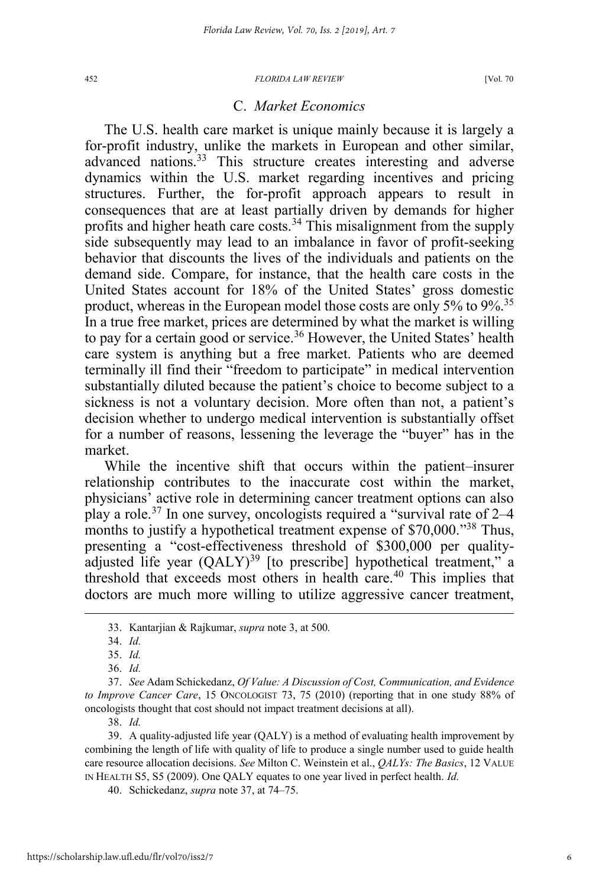#### C. *Market Economics*

The U.S. health care market is unique mainly because it is largely a for-profit industry, unlike the markets in European and other similar, advanced nations.<sup>33</sup> This structure creates interesting and adverse dynamics within the U.S. market regarding incentives and pricing structures. Further, the for-profit approach appears to result in consequences that are at least partially driven by demands for higher profits and higher heath care costs.<sup>34</sup> This misalignment from the supply side subsequently may lead to an imbalance in favor of profit-seeking behavior that discounts the lives of the individuals and patients on the demand side. Compare, for instance, that the health care costs in the United States account for 18% of the United States' gross domestic product, whereas in the European model those costs are only  $5\%$  to  $9\%$ .<sup>35</sup> In a true free market, prices are determined by what the market is willing to pay for a certain good or service.<sup>36</sup> However, the United States' health care system is anything but a free market. Patients who are deemed terminally ill find their "freedom to participate" in medical intervention substantially diluted because the patient's choice to become subject to a sickness is not a voluntary decision. More often than not, a patient's decision whether to undergo medical intervention is substantially offset for a number of reasons, lessening the leverage the "buyer" has in the market.

While the incentive shift that occurs within the patient–insurer relationship contributes to the inaccurate cost within the market, physicians' active role in determining cancer treatment options can also play a role.<sup>37</sup> In one survey, oncologists required a "survival rate of 2–4 months to justify a hypothetical treatment expense of \$70,000."<sup>38</sup> Thus, presenting a "cost-effectiveness threshold of \$300,000 per qualityadjusted life year  $(QALY)^{39}$  [to prescribe] hypothetical treatment," a threshold that exceeds most others in health care.<sup>40</sup> This implies that doctors are much more willing to utilize aggressive cancer treatment,

 <sup>33.</sup> Kantarjian & Rajkumar, *supra* note 3, at 500*.*

<sup>34.</sup> *Id.*

<sup>35.</sup> *Id.*

<sup>36.</sup> *Id.*

<sup>37.</sup> *See* Adam Schickedanz, *Of Value: A Discussion of Cost, Communication, and Evidence to Improve Cancer Care*, 15 ONCOLOGIST 73, 75 (2010) (reporting that in one study 88% of oncologists thought that cost should not impact treatment decisions at all).

<sup>39.</sup> A quality-adjusted life year (QALY) is a method of evaluating health improvement by combining the length of life with quality of life to produce a single number used to guide health care resource allocation decisions. *See* Milton C. Weinstein et al., *QALYs: The Basics*, 12 VALUE IN HEALTH S5, S5 (2009). One QALY equates to one year lived in perfect health. *Id.*

<sup>40.</sup> Schickedanz, *supra* note 37, at 74–75.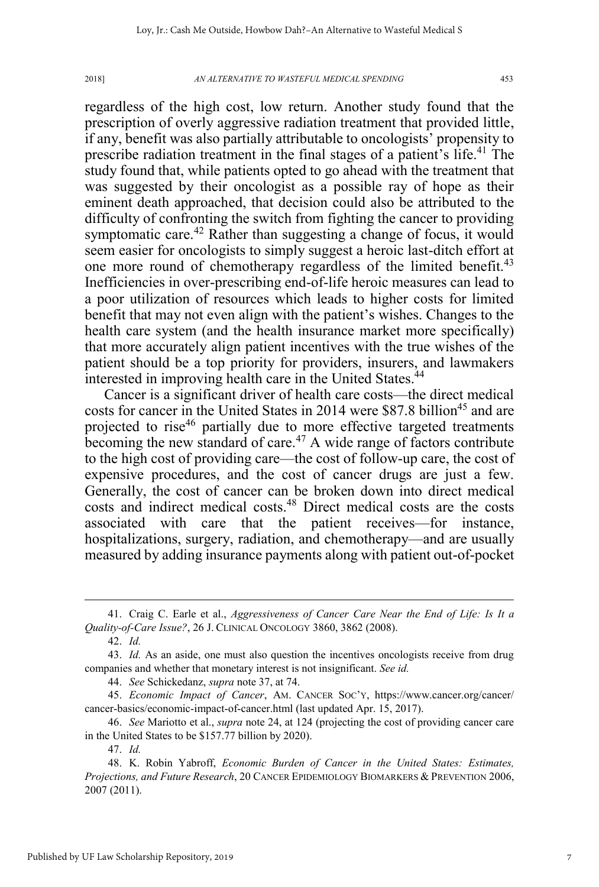regardless of the high cost, low return. Another study found that the prescription of overly aggressive radiation treatment that provided little, if any, benefit was also partially attributable to oncologists' propensity to prescribe radiation treatment in the final stages of a patient's life.<sup>41</sup> The study found that, while patients opted to go ahead with the treatment that was suggested by their oncologist as a possible ray of hope as their eminent death approached, that decision could also be attributed to the difficulty of confronting the switch from fighting the cancer to providing symptomatic care.<sup>42</sup> Rather than suggesting a change of focus, it would seem easier for oncologists to simply suggest a heroic last-ditch effort at one more round of chemotherapy regardless of the limited benefit.<sup>43</sup> Inefficiencies in over-prescribing end-of-life heroic measures can lead to a poor utilization of resources which leads to higher costs for limited benefit that may not even align with the patient's wishes. Changes to the health care system (and the health insurance market more specifically) that more accurately align patient incentives with the true wishes of the patient should be a top priority for providers, insurers, and lawmakers interested in improving health care in the United States.<sup>44</sup>

Cancer is a significant driver of health care costs—the direct medical costs for cancer in the United States in 2014 were \$87.8 billion<sup>45</sup> and are projected to rise<sup>46</sup> partially due to more effective targeted treatments becoming the new standard of care.<sup>47</sup> A wide range of factors contribute to the high cost of providing care—the cost of follow-up care, the cost of expensive procedures, and the cost of cancer drugs are just a few. Generally, the cost of cancer can be broken down into direct medical costs and indirect medical costs.48 Direct medical costs are the costs associated with care that the patient receives—for instance, hospitalizations, surgery, radiation, and chemotherapy—and are usually measured by adding insurance payments along with patient out-of-pocket

42. *Id.*

44. *See* Schickedanz, *supra* note 37, at 74.

 <sup>41.</sup> Craig C. Earle et al., *Aggressiveness of Cancer Care Near the End of Life: Is It a Quality-of-Care Issue?*, 26 J. CLINICAL ONCOLOGY 3860, 3862 (2008).

<sup>43.</sup> *Id.* As an aside, one must also question the incentives oncologists receive from drug companies and whether that monetary interest is not insignificant. *See id.*

<sup>45.</sup> *Economic Impact of Cancer*, AM. CANCER SOC'Y, https://www.cancer.org/cancer/ cancer-basics/economic-impact-of-cancer.html (last updated Apr. 15, 2017).

<sup>46.</sup> *See* Mariotto et al., *supra* note 24, at 124 (projecting the cost of providing cancer care in the United States to be \$157.77 billion by 2020).

<sup>47.</sup> *Id.*

<sup>48.</sup> K. Robin Yabroff, *Economic Burden of Cancer in the United States: Estimates, Projections, and Future Research*, 20 CANCER EPIDEMIOLOGY BIOMARKERS & PREVENTION 2006, 2007 (2011).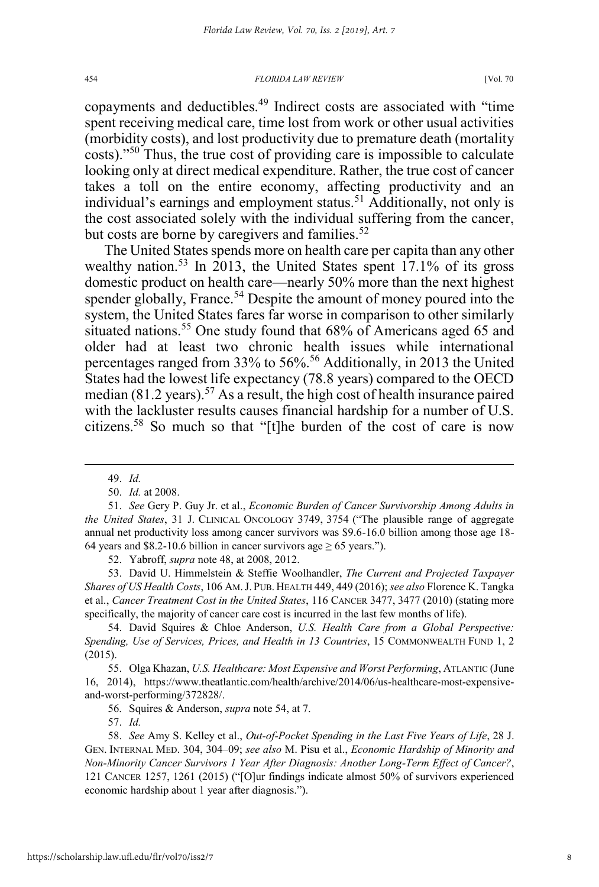copayments and deductibles.<sup>49</sup> Indirect costs are associated with "time spent receiving medical care, time lost from work or other usual activities (morbidity costs), and lost productivity due to premature death (mortality costs)."<sup>50</sup> Thus, the true cost of providing care is impossible to calculate looking only at direct medical expenditure. Rather, the true cost of cancer takes a toll on the entire economy, affecting productivity and an individual's earnings and employment status.<sup>51</sup> Additionally, not only is the cost associated solely with the individual suffering from the cancer, but costs are borne by caregivers and families. $52$ 

The United States spends more on health care per capita than any other wealthy nation.<sup>53</sup> In 2013, the United States spent 17.1% of its gross domestic product on health care—nearly 50% more than the next highest spender globally, France.<sup>54</sup> Despite the amount of money poured into the system, the United States fares far worse in comparison to other similarly situated nations.<sup>55</sup> One study found that 68% of Americans aged 65 and older had at least two chronic health issues while international percentages ranged from 33% to 56%.56 Additionally, in 2013 the United States had the lowest life expectancy (78.8 years) compared to the OECD median  $(81.2 \text{ years})$ .<sup>57</sup> As a result, the high cost of health insurance paired with the lackluster results causes financial hardship for a number of U.S. citizens.58 So much so that "[t]he burden of the cost of care is now

52. Yabroff, *supra* note 48, at 2008, 2012.

53. David U. Himmelstein & Steffie Woolhandler, *The Current and Projected Taxpayer Shares of US Health Costs*, 106 AM. J. PUB. HEALTH 449, 449 (2016); *see also* Florence K. Tangka et al., *Cancer Treatment Cost in the United States*, 116 CANCER 3477, 3477 (2010) (stating more specifically, the majority of cancer care cost is incurred in the last few months of life).

54. David Squires & Chloe Anderson, *U.S. Health Care from a Global Perspective: Spending, Use of Services, Prices, and Health in 13 Countries*, 15 COMMONWEALTH FUND 1, 2 (2015).

55. Olga Khazan, *U.S. Healthcare: Most Expensive and Worst Performing*, ATLANTIC (June 16, 2014), https://www.theatlantic.com/health/archive/2014/06/us-healthcare-most-expensiveand-worst-performing/372828/.

56. Squires & Anderson, *supra* note 54, at 7.

 <sup>49.</sup> *Id.*

<sup>50.</sup> *Id.* at 2008.

<sup>51.</sup> *See* Gery P. Guy Jr. et al., *Economic Burden of Cancer Survivorship Among Adults in the United States*, 31 J. CLINICAL ONCOLOGY 3749, 3754 ("The plausible range of aggregate annual net productivity loss among cancer survivors was \$9.6-16.0 billion among those age 18- 64 years and \$8.2-10.6 billion in cancer survivors age  $\geq$  65 years.").

<sup>58.</sup> *See* Amy S. Kelley et al., *Out-of-Pocket Spending in the Last Five Years of Life*, 28 J. GEN. INTERNAL MED. 304, 304–09; *see also* M. Pisu et al., *Economic Hardship of Minority and Non-Minority Cancer Survivors 1 Year After Diagnosis: Another Long-Term Effect of Cancer?*, 121 CANCER 1257, 1261 (2015) ("[O]ur findings indicate almost 50% of survivors experienced economic hardship about 1 year after diagnosis.").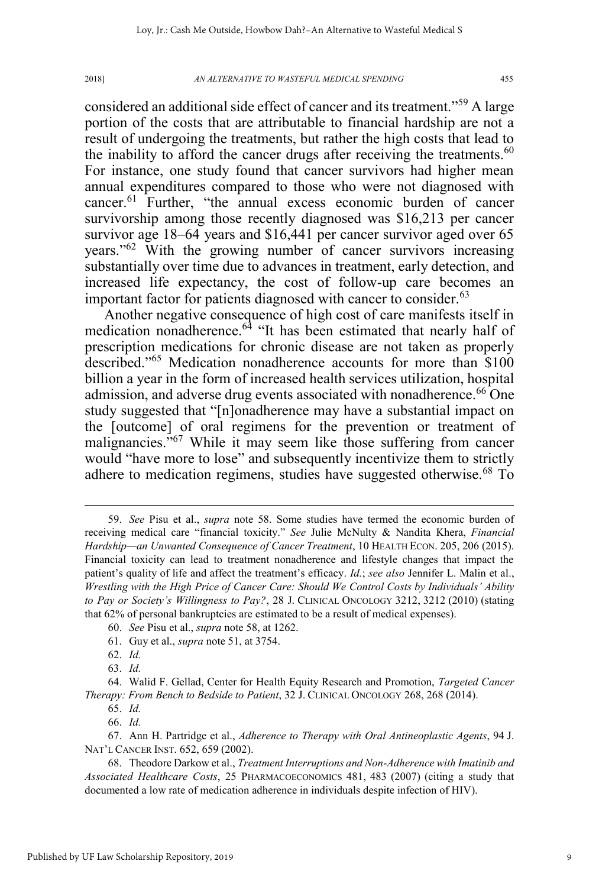considered an additional side effect of cancer and its treatment."<sup>59</sup> A large portion of the costs that are attributable to financial hardship are not a result of undergoing the treatments, but rather the high costs that lead to the inability to afford the cancer drugs after receiving the treatments.<sup>60</sup> For instance, one study found that cancer survivors had higher mean annual expenditures compared to those who were not diagnosed with cancer.<sup>61</sup> Further, "the annual excess economic burden of cancer survivorship among those recently diagnosed was \$16,213 per cancer survivor age 18–64 years and \$16,441 per cancer survivor aged over 65 years."<sup>62</sup> With the growing number of cancer survivors increasing substantially over time due to advances in treatment, early detection, and increased life expectancy, the cost of follow-up care becomes an important factor for patients diagnosed with cancer to consider. $63$ 

Another negative consequence of high cost of care manifests itself in medication nonadherence.<sup>64</sup> "It has been estimated that nearly half of prescription medications for chronic disease are not taken as properly described."<sup>65</sup> Medication nonadherence accounts for more than \$100 billion a year in the form of increased health services utilization, hospital admission, and adverse drug events associated with nonadherence.<sup>66</sup> One study suggested that "[n]onadherence may have a substantial impact on the [outcome] of oral regimens for the prevention or treatment of malignancies."<sup>67</sup> While it may seem like those suffering from cancer would "have more to lose" and subsequently incentivize them to strictly adhere to medication regimens, studies have suggested otherwise.<sup>68</sup> To

 <sup>59.</sup> *See* Pisu et al., *supra* note 58. Some studies have termed the economic burden of receiving medical care "financial toxicity." *See* Julie McNulty & Nandita Khera, *Financial Hardship—an Unwanted Consequence of Cancer Treatment*, 10 HEALTH ECON. 205, 206 (2015). Financial toxicity can lead to treatment nonadherence and lifestyle changes that impact the patient's quality of life and affect the treatment's efficacy. *Id.*; *see also* Jennifer L. Malin et al., *Wrestling with the High Price of Cancer Care: Should We Control Costs by Individuals' Ability to Pay or Society's Willingness to Pay?*, 28 J. CLINICAL ONCOLOGY 3212, 3212 (2010) (stating that 62% of personal bankruptcies are estimated to be a result of medical expenses).

<sup>60.</sup> *See* Pisu et al., *supra* note 58, at 1262.

<sup>61.</sup> Guy et al., *supra* note 51, at 3754.

<sup>62.</sup> *Id.*

<sup>63.</sup> *Id.*

<sup>64.</sup> Walid F. Gellad, Center for Health Equity Research and Promotion, *Targeted Cancer Therapy: From Bench to Bedside to Patient*, 32 J. CLINICAL ONCOLOGY 268, 268 (2014).

<sup>65.</sup> *Id.*

<sup>66.</sup> *Id.*

<sup>67.</sup> Ann H. Partridge et al., *Adherence to Therapy with Oral Antineoplastic Agents*, 94 J. NAT'L CANCER INST. 652, 659 (2002).

<sup>68.</sup> Theodore Darkow et al., *Treatment Interruptions and Non-Adherence with Imatinib and Associated Healthcare Costs*, 25 PHARMACOECONOMICS 481, 483 (2007) (citing a study that documented a low rate of medication adherence in individuals despite infection of HIV).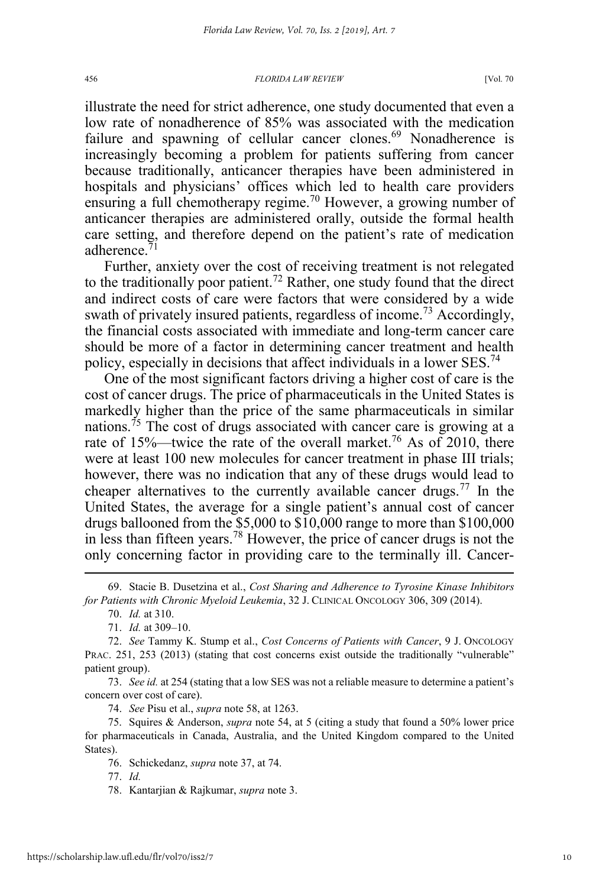illustrate the need for strict adherence, one study documented that even a low rate of nonadherence of 85% was associated with the medication failure and spawning of cellular cancer clones.<sup>69</sup> Nonadherence is increasingly becoming a problem for patients suffering from cancer because traditionally, anticancer therapies have been administered in hospitals and physicians' offices which led to health care providers ensuring a full chemotherapy regime.<sup>70</sup> However, a growing number of anticancer therapies are administered orally, outside the formal health care setting, and therefore depend on the patient's rate of medication adherence.<sup>71</sup>

Further, anxiety over the cost of receiving treatment is not relegated to the traditionally poor patient.<sup>72</sup> Rather, one study found that the direct and indirect costs of care were factors that were considered by a wide swath of privately insured patients, regardless of income.<sup>73</sup> Accordingly, the financial costs associated with immediate and long-term cancer care should be more of a factor in determining cancer treatment and health policy, especially in decisions that affect individuals in a lower SES.<sup>74</sup>

One of the most significant factors driving a higher cost of care is the cost of cancer drugs. The price of pharmaceuticals in the United States is markedly higher than the price of the same pharmaceuticals in similar nations.<sup>75</sup> The cost of drugs associated with cancer care is growing at a rate of  $15\%$ —twice the rate of the overall market.<sup>76</sup> As of 2010, there were at least 100 new molecules for cancer treatment in phase III trials; however, there was no indication that any of these drugs would lead to cheaper alternatives to the currently available cancer drugs.<sup>77</sup> In the United States, the average for a single patient's annual cost of cancer drugs ballooned from the \$5,000 to \$10,000 range to more than \$100,000 in less than fifteen years.<sup>78</sup> However, the price of cancer drugs is not the only concerning factor in providing care to the terminally ill. Cancer-

73. *See id.* at 254 (stating that a low SES was not a reliable measure to determine a patient's concern over cost of care).

74. *See* Pisu et al., *supra* note 58, at 1263.

75. Squires & Anderson, *supra* note 54, at 5 (citing a study that found a 50% lower price for pharmaceuticals in Canada, Australia, and the United Kingdom compared to the United States).

76. Schickedanz, *supra* note 37, at 74.

 <sup>69.</sup> Stacie B. Dusetzina et al., *Cost Sharing and Adherence to Tyrosine Kinase Inhibitors for Patients with Chronic Myeloid Leukemia*, 32 J. CLINICAL ONCOLOGY 306, 309 (2014).

<sup>70.</sup> *Id.* at 310.

<sup>71.</sup> *Id.* at 309–10.

<sup>72.</sup> *See* Tammy K. Stump et al., *Cost Concerns of Patients with Cancer*, 9 J. ONCOLOGY PRAC. 251, 253 (2013) (stating that cost concerns exist outside the traditionally "vulnerable" patient group).

<sup>78.</sup> Kantarjian & Rajkumar, *supra* note 3.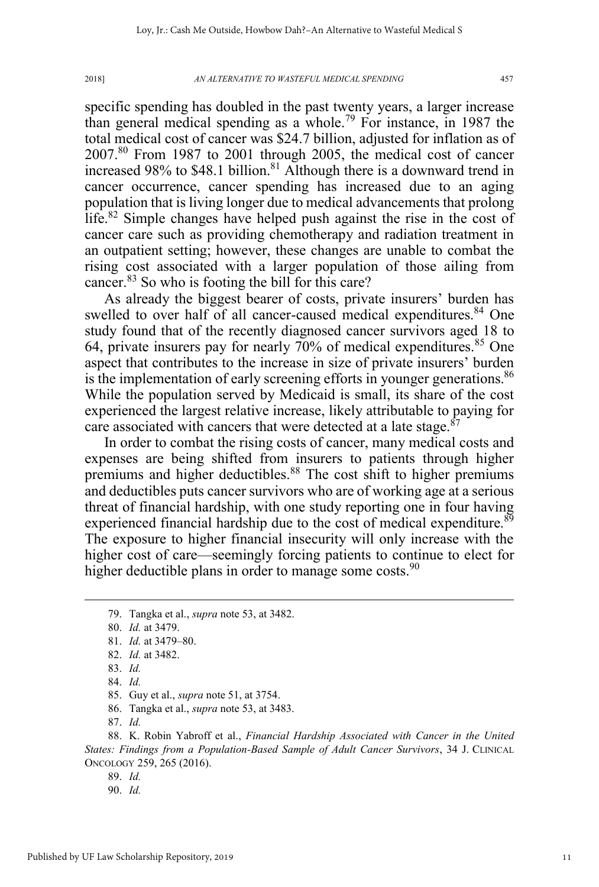specific spending has doubled in the past twenty years, a larger increase than general medical spending as a whole.<sup>79</sup> For instance, in 1987 the total medical cost of cancer was \$24.7 billion, adjusted for inflation as of 2007.<sup>80</sup> From 1987 to 2001 through 2005, the medical cost of cancer increased 98% to \$48.1 billion.<sup>81</sup> Although there is a downward trend in cancer occurrence, cancer spending has increased due to an aging population that is living longer due to medical advancements that prolong life.<sup>82</sup> Simple changes have helped push against the rise in the cost of cancer care such as providing chemotherapy and radiation treatment in an outpatient setting; however, these changes are unable to combat the rising cost associated with a larger population of those ailing from cancer.<sup>83</sup> So who is footing the bill for this care?

As already the biggest bearer of costs, private insurers' burden has swelled to over half of all cancer-caused medical expenditures.<sup>84</sup> One study found that of the recently diagnosed cancer survivors aged 18 to 64, private insurers pay for nearly 70% of medical expenditures.<sup>85</sup> One aspect that contributes to the increase in size of private insurers' burden is the implementation of early screening efforts in younger generations.<sup>86</sup> While the population served by Medicaid is small, its share of the cost experienced the largest relative increase, likely attributable to paying for care associated with cancers that were detected at a late stage.<sup>87</sup>

In order to combat the rising costs of cancer, many medical costs and expenses are being shifted from insurers to patients through higher premiums and higher deductibles.<sup>88</sup> The cost shift to higher premiums and deductibles puts cancer survivors who are of working age at a serious threat of financial hardship, with one study reporting one in four having experienced financial hardship due to the cost of medical expenditure.<sup>89</sup> The exposure to higher financial insecurity will only increase with the higher cost of care—seemingly forcing patients to continue to elect for higher deductible plans in order to manage some costs.  $90$ 

87. *Id.*

89. *Id.*

 <sup>79.</sup> Tangka et al., *supra* note 53, at 3482.

<sup>80.</sup> *Id.* at 3479.

<sup>81.</sup> *Id.* at 3479–80.

<sup>82.</sup> *Id.* at 3482.

<sup>83.</sup> *Id.*

<sup>84.</sup> *Id.*

<sup>85.</sup> Guy et al., *supra* note 51, at 3754.

<sup>86.</sup> Tangka et al., *supra* note 53, at 3483.

<sup>88.</sup> K. Robin Yabroff et al., *Financial Hardship Associated with Cancer in the United States: Findings from a Population-Based Sample of Adult Cancer Survivors*, 34 J. CLINICAL ONCOLOGY 259, 265 (2016).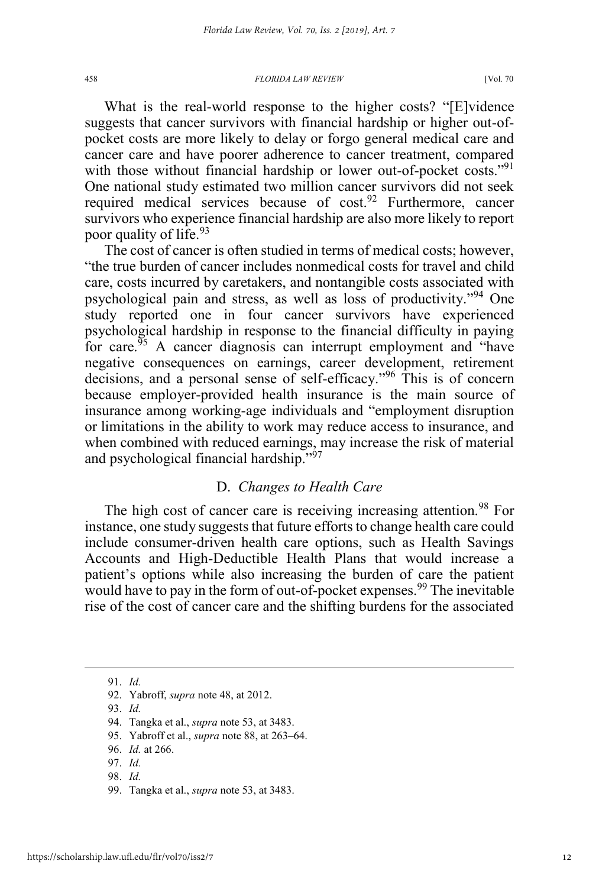What is the real-world response to the higher costs? "[E]vidence suggests that cancer survivors with financial hardship or higher out-ofpocket costs are more likely to delay or forgo general medical care and cancer care and have poorer adherence to cancer treatment, compared with those without financial hardship or lower out-of-pocket costs."<sup>91</sup> One national study estimated two million cancer survivors did not seek required medical services because of cost.<sup>92</sup> Furthermore, cancer survivors who experience financial hardship are also more likely to report poor quality of life.<sup>93</sup>

The cost of cancer is often studied in terms of medical costs; however, "the true burden of cancer includes nonmedical costs for travel and child care, costs incurred by caretakers, and nontangible costs associated with psychological pain and stress, as well as loss of productivity."<sup>94</sup> One study reported one in four cancer survivors have experienced psychological hardship in response to the financial difficulty in paying for care. $55$  A cancer diagnosis can interrupt employment and "have negative consequences on earnings, career development, retirement decisions, and a personal sense of self-efficacy."<sup>96</sup> This is of concern because employer-provided health insurance is the main source of insurance among working-age individuals and "employment disruption or limitations in the ability to work may reduce access to insurance, and when combined with reduced earnings, may increase the risk of material and psychological financial hardship."97

## D. *Changes to Health Care*

The high cost of cancer care is receiving increasing attention.<sup>98</sup> For instance, one study suggests that future efforts to change health care could include consumer-driven health care options, such as Health Savings Accounts and High-Deductible Health Plans that would increase a patient's options while also increasing the burden of care the patient would have to pay in the form of out-of-pocket expenses.<sup>99</sup> The inevitable rise of the cost of cancer care and the shifting burdens for the associated

 <sup>91.</sup> *Id.*

<sup>92.</sup> Yabroff, *supra* note 48, at 2012.

<sup>93.</sup> *Id.*

<sup>94.</sup> Tangka et al., *supra* note 53, at 3483.

<sup>95.</sup> Yabroff et al., *supra* note 88, at 263–64.

<sup>96.</sup> *Id.* at 266.

<sup>97.</sup> *Id.*

<sup>99.</sup> Tangka et al., *supra* note 53, at 3483.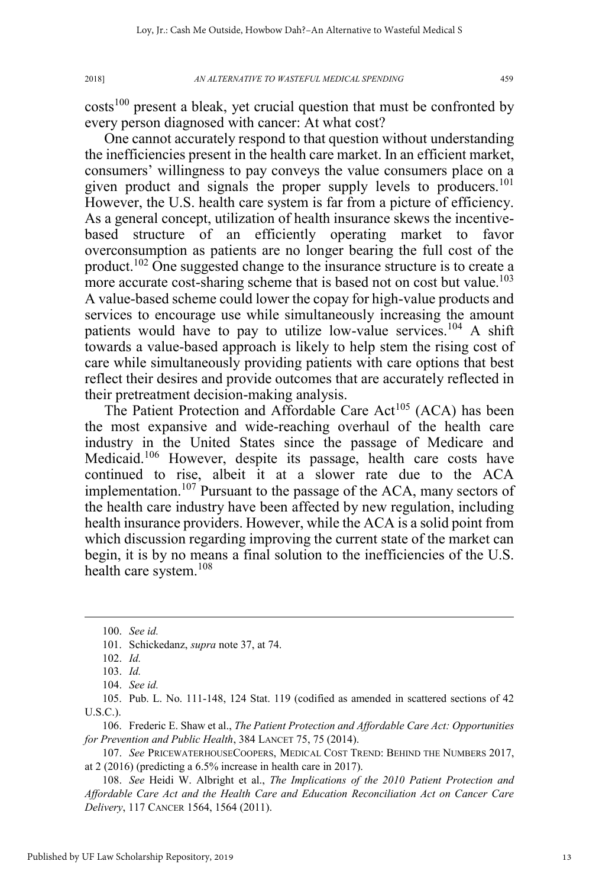$costs<sup>100</sup>$  present a bleak, yet crucial question that must be confronted by every person diagnosed with cancer: At what cost?

One cannot accurately respond to that question without understanding the inefficiencies present in the health care market. In an efficient market, consumers' willingness to pay conveys the value consumers place on a given product and signals the proper supply levels to producers.<sup>101</sup> However, the U.S. health care system is far from a picture of efficiency. As a general concept, utilization of health insurance skews the incentivebased structure of an efficiently operating market to favor overconsumption as patients are no longer bearing the full cost of the product.<sup>102</sup> One suggested change to the insurance structure is to create a more accurate cost-sharing scheme that is based not on cost but value.<sup>103</sup> A value-based scheme could lower the copay for high-value products and services to encourage use while simultaneously increasing the amount patients would have to pay to utilize low-value services.<sup>104</sup> A shift towards a value-based approach is likely to help stem the rising cost of care while simultaneously providing patients with care options that best reflect their desires and provide outcomes that are accurately reflected in their pretreatment decision-making analysis.

The Patient Protection and Affordable Care Act<sup>105</sup> (ACA) has been the most expansive and wide-reaching overhaul of the health care industry in the United States since the passage of Medicare and Medicaid.<sup>106</sup> However, despite its passage, health care costs have continued to rise, albeit it at a slower rate due to the ACA implementation.<sup>107</sup> Pursuant to the passage of the ACA, many sectors of the health care industry have been affected by new regulation, including health insurance providers. However, while the ACA is a solid point from which discussion regarding improving the current state of the market can begin, it is by no means a final solution to the inefficiencies of the U.S. health care system.<sup>108</sup>

105. Pub. L. No. 111-148, 124 Stat. 119 (codified as amended in scattered sections of 42 U.S.C.).

106. Frederic E. Shaw et al., *The Patient Protection and Affordable Care Act: Opportunities for Prevention and Public Health*, 384 LANCET 75, 75 (2014).

107. *See* PRICEWATERHOUSECOOPERS, MEDICAL COST TREND: BEHIND THE NUMBERS 2017, at 2 (2016) (predicting a 6.5% increase in health care in 2017).

108. *See* Heidi W. Albright et al., *The Implications of the 2010 Patient Protection and Affordable Care Act and the Health Care and Education Reconciliation Act on Cancer Care Delivery*, 117 CANCER 1564, 1564 (2011).

 <sup>100.</sup> *See id.*

<sup>101.</sup> Schickedanz, *supra* note 37, at 74.

<sup>102.</sup> *Id.*

<sup>103.</sup> *Id.*

<sup>104.</sup> *See id.*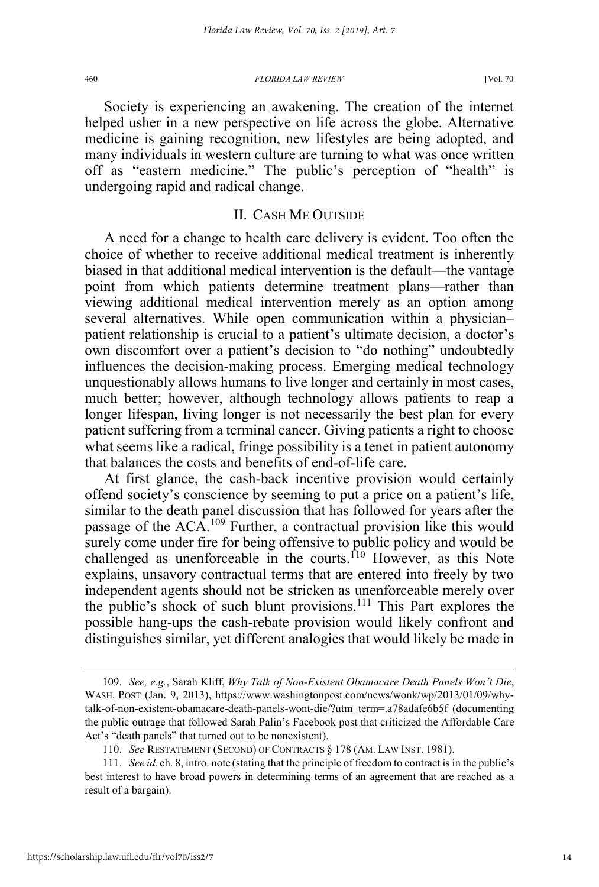Society is experiencing an awakening. The creation of the internet helped usher in a new perspective on life across the globe. Alternative medicine is gaining recognition, new lifestyles are being adopted, and many individuals in western culture are turning to what was once written off as "eastern medicine." The public's perception of "health" is undergoing rapid and radical change.

#### II. CASH ME OUTSIDE

A need for a change to health care delivery is evident. Too often the choice of whether to receive additional medical treatment is inherently biased in that additional medical intervention is the default—the vantage point from which patients determine treatment plans—rather than viewing additional medical intervention merely as an option among several alternatives. While open communication within a physician– patient relationship is crucial to a patient's ultimate decision, a doctor's own discomfort over a patient's decision to "do nothing" undoubtedly influences the decision-making process. Emerging medical technology unquestionably allows humans to live longer and certainly in most cases, much better; however, although technology allows patients to reap a longer lifespan, living longer is not necessarily the best plan for every patient suffering from a terminal cancer. Giving patients a right to choose what seems like a radical, fringe possibility is a tenet in patient autonomy that balances the costs and benefits of end-of-life care.

At first glance, the cash-back incentive provision would certainly offend society's conscience by seeming to put a price on a patient's life, similar to the death panel discussion that has followed for years after the passage of the ACA.<sup>109</sup> Further, a contractual provision like this would surely come under fire for being offensive to public policy and would be challenged as unenforceable in the courts.<sup>110</sup> However, as this Note explains, unsavory contractual terms that are entered into freely by two independent agents should not be stricken as unenforceable merely over the public's shock of such blunt provisions.<sup>111</sup> This Part explores the possible hang-ups the cash-rebate provision would likely confront and distinguishes similar, yet different analogies that would likely be made in

 <sup>109.</sup> *See, e.g.*, Sarah Kliff, *Why Talk of Non-Existent Obamacare Death Panels Won't Die*, WASH. POST (Jan. 9, 2013), https://www.washingtonpost.com/news/wonk/wp/2013/01/09/whytalk-of-non-existent-obamacare-death-panels-wont-die/?utm\_term=.a78adafe6b5f (documenting the public outrage that followed Sarah Palin's Facebook post that criticized the Affordable Care Act's "death panels" that turned out to be nonexistent).

<sup>110.</sup> *See* RESTATEMENT (SECOND) OF CONTRACTS § 178 (AM. LAW INST. 1981).

<sup>111.</sup> *See id.* ch. 8, intro. note (stating that the principle of freedom to contract is in the public's best interest to have broad powers in determining terms of an agreement that are reached as a result of a bargain).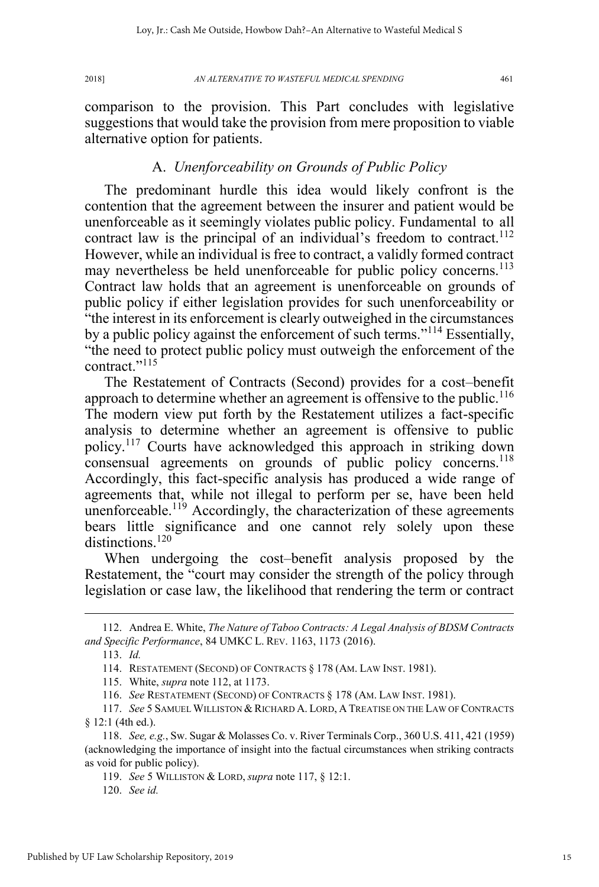comparison to the provision. This Part concludes with legislative suggestions that would take the provision from mere proposition to viable alternative option for patients.

#### A. *Unenforceability on Grounds of Public Policy*

The predominant hurdle this idea would likely confront is the contention that the agreement between the insurer and patient would be unenforceable as it seemingly violates public policy. Fundamental to all contract law is the principal of an individual's freedom to contract.<sup>112</sup> However, while an individual is free to contract, a validly formed contract may nevertheless be held unenforceable for public policy concerns.<sup>113</sup> Contract law holds that an agreement is unenforceable on grounds of public policy if either legislation provides for such unenforceability or "the interest in its enforcement is clearly outweighed in the circumstances by a public policy against the enforcement of such terms."<sup>114</sup> Essentially, "the need to protect public policy must outweigh the enforcement of the contract."<sup>115</sup>

The Restatement of Contracts (Second) provides for a cost–benefit approach to determine whether an agreement is offensive to the public.<sup>116</sup> The modern view put forth by the Restatement utilizes a fact-specific analysis to determine whether an agreement is offensive to public policy.<sup>117</sup> Courts have acknowledged this approach in striking down consensual agreements on grounds of public policy concerns.<sup>118</sup> Accordingly, this fact-specific analysis has produced a wide range of agreements that, while not illegal to perform per se, have been held unenforceable.<sup>119</sup> Accordingly, the characterization of these agreements bears little significance and one cannot rely solely upon these distinctions<sup>120</sup>

When undergoing the cost–benefit analysis proposed by the Restatement, the "court may consider the strength of the policy through legislation or case law, the likelihood that rendering the term or contract

116. *See* RESTATEMENT (SECOND) OF CONTRACTS § 178 (AM. LAW INST. 1981).

117. *See* 5 SAMUEL WILLISTON & RICHARD A. LORD,ATREATISE ON THE LAW OF CONTRACTS § 12:1 (4th ed.).

120. *See id.*

 <sup>112.</sup> Andrea E. White, *The Nature of Taboo Contracts: A Legal Analysis of BDSM Contracts and Specific Performance*, 84 UMKC L. REV. 1163, 1173 (2016).

<sup>113.</sup> *Id.*

<sup>114.</sup> RESTATEMENT (SECOND) OF CONTRACTS § 178 (AM. LAW INST. 1981).

<sup>115.</sup> White, *supra* note 112, at 1173.

<sup>118.</sup> *See, e.g.*, Sw. Sugar & Molasses Co. v. River Terminals Corp., 360 U.S. 411, 421 (1959) (acknowledging the importance of insight into the factual circumstances when striking contracts as void for public policy).

<sup>119.</sup> *See* 5 WILLISTON & LORD, *supra* note 117, § 12:1.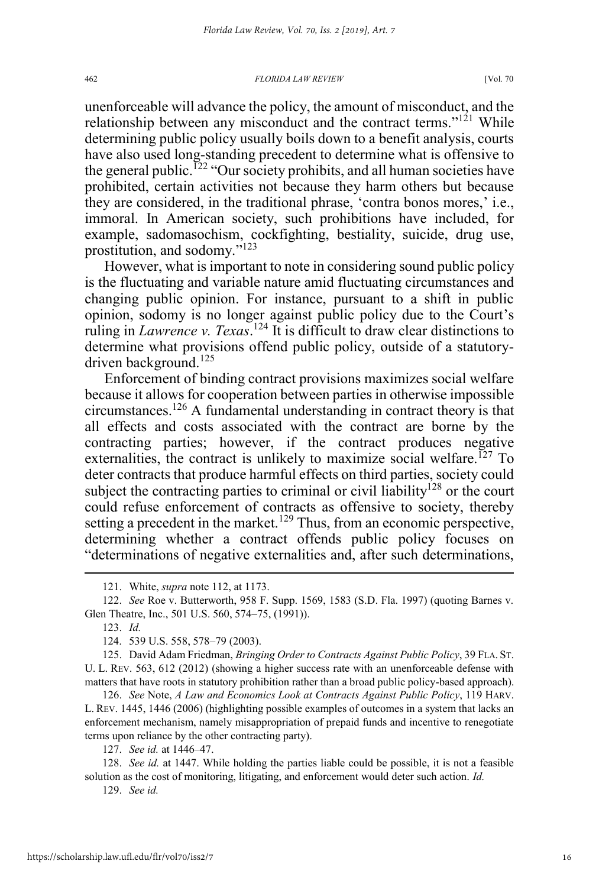unenforceable will advance the policy, the amount of misconduct, and the relationship between any misconduct and the contract terms."<sup>121</sup> While determining public policy usually boils down to a benefit analysis, courts have also used long-standing precedent to determine what is offensive to the general public.<sup> $122$ </sup> "Our society prohibits, and all human societies have prohibited, certain activities not because they harm others but because they are considered, in the traditional phrase, 'contra bonos mores,' i.e., immoral. In American society, such prohibitions have included, for example, sadomasochism, cockfighting, bestiality, suicide, drug use, prostitution, and sodomy."<sup>123</sup>

However, what is important to note in considering sound public policy is the fluctuating and variable nature amid fluctuating circumstances and changing public opinion. For instance, pursuant to a shift in public opinion, sodomy is no longer against public policy due to the Court's ruling in *Lawrence v. Texas*. <sup>124</sup> It is difficult to draw clear distinctions to determine what provisions offend public policy, outside of a statutorydriven background.<sup>125</sup>

Enforcement of binding contract provisions maximizes social welfare because it allows for cooperation between parties in otherwise impossible circumstances.126 A fundamental understanding in contract theory is that all effects and costs associated with the contract are borne by the contracting parties; however, if the contract produces negative externalities, the contract is unlikely to maximize social welfare.<sup>127</sup> To deter contracts that produce harmful effects on third parties, society could subject the contracting parties to criminal or civil liability<sup>128</sup> or the court could refuse enforcement of contracts as offensive to society, thereby setting a precedent in the market.<sup>129</sup> Thus, from an economic perspective, determining whether a contract offends public policy focuses on "determinations of negative externalities and, after such determinations,

126. *See* Note, *A Law and Economics Look at Contracts Against Public Policy*, 119 HARV. L. REV. 1445, 1446 (2006) (highlighting possible examples of outcomes in a system that lacks an enforcement mechanism, namely misappropriation of prepaid funds and incentive to renegotiate terms upon reliance by the other contracting party).

127. *See id.* at 1446–47.

128. *See id.* at 1447. While holding the parties liable could be possible, it is not a feasible solution as the cost of monitoring, litigating, and enforcement would deter such action. *Id.*

129. *See id.*

 <sup>121.</sup> White, *supra* note 112, at 1173.

<sup>122.</sup> *See* Roe v. Butterworth, 958 F. Supp. 1569, 1583 (S.D. Fla. 1997) (quoting Barnes v. Glen Theatre, Inc., 501 U.S. 560, 574–75, (1991)).

<sup>123.</sup> *Id.*

<sup>124. 539</sup> U.S. 558, 578–79 (2003).

<sup>125.</sup> David Adam Friedman, *Bringing Order to Contracts Against Public Policy*, 39 FLA. ST. U. L. REV. 563, 612 (2012) (showing a higher success rate with an unenforceable defense with matters that have roots in statutory prohibition rather than a broad public policy-based approach).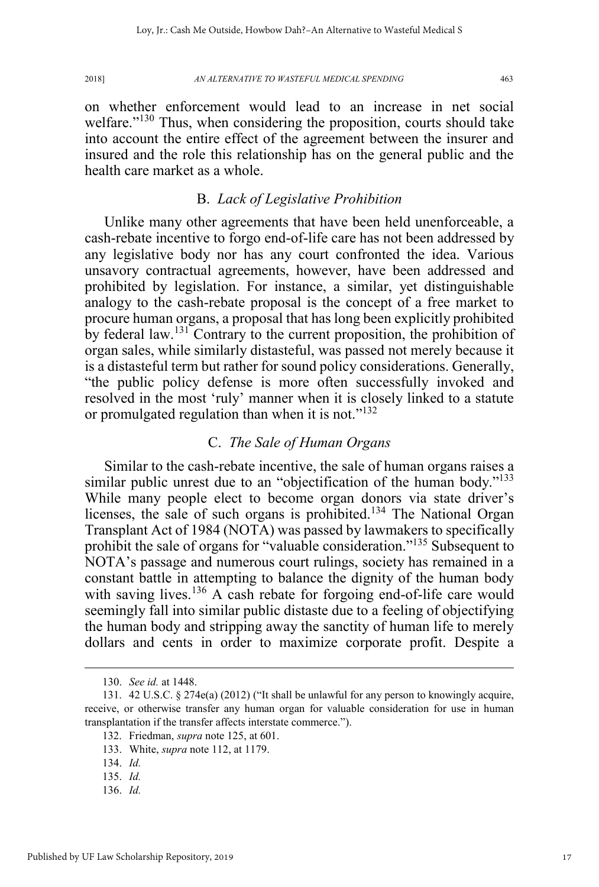on whether enforcement would lead to an increase in net social welfare."<sup>130</sup> Thus, when considering the proposition, courts should take into account the entire effect of the agreement between the insurer and insured and the role this relationship has on the general public and the health care market as a whole.

## B. *Lack of Legislative Prohibition*

Unlike many other agreements that have been held unenforceable, a cash-rebate incentive to forgo end-of-life care has not been addressed by any legislative body nor has any court confronted the idea. Various unsavory contractual agreements, however, have been addressed and prohibited by legislation. For instance, a similar, yet distinguishable analogy to the cash-rebate proposal is the concept of a free market to procure human organs, a proposal that has long been explicitly prohibited by federal law.<sup>131</sup> Contrary to the current proposition, the prohibition of organ sales, while similarly distasteful, was passed not merely because it is a distasteful term but rather for sound policy considerations. Generally, "the public policy defense is more often successfully invoked and resolved in the most 'ruly' manner when it is closely linked to a statute or promulgated regulation than when it is not."<sup>132</sup>

#### C. *The Sale of Human Organs*

Similar to the cash-rebate incentive, the sale of human organs raises a similar public unrest due to an "objectification of the human body." $133$ While many people elect to become organ donors via state driver's licenses, the sale of such organs is prohibited.<sup>134</sup> The National Organ Transplant Act of 1984 (NOTA) was passed by lawmakers to specifically prohibit the sale of organs for "valuable consideration."<sup>135</sup> Subsequent to NOTA's passage and numerous court rulings, society has remained in a constant battle in attempting to balance the dignity of the human body with saving lives.<sup>136</sup> A cash rebate for forgoing end-of-life care would seemingly fall into similar public distaste due to a feeling of objectifying the human body and stripping away the sanctity of human life to merely dollars and cents in order to maximize corporate profit. Despite a

136. *Id.*

17

 <sup>130.</sup> *See id.* at 1448.

<sup>131. 42</sup> U.S.C. § 274e(a) (2012) ("It shall be unlawful for any person to knowingly acquire, receive, or otherwise transfer any human organ for valuable consideration for use in human transplantation if the transfer affects interstate commerce.").

<sup>132.</sup> Friedman, *supra* note 125, at 601.

<sup>133.</sup> White, *supra* note 112, at 1179.

<sup>134.</sup> *Id.*

<sup>135.</sup> *Id.*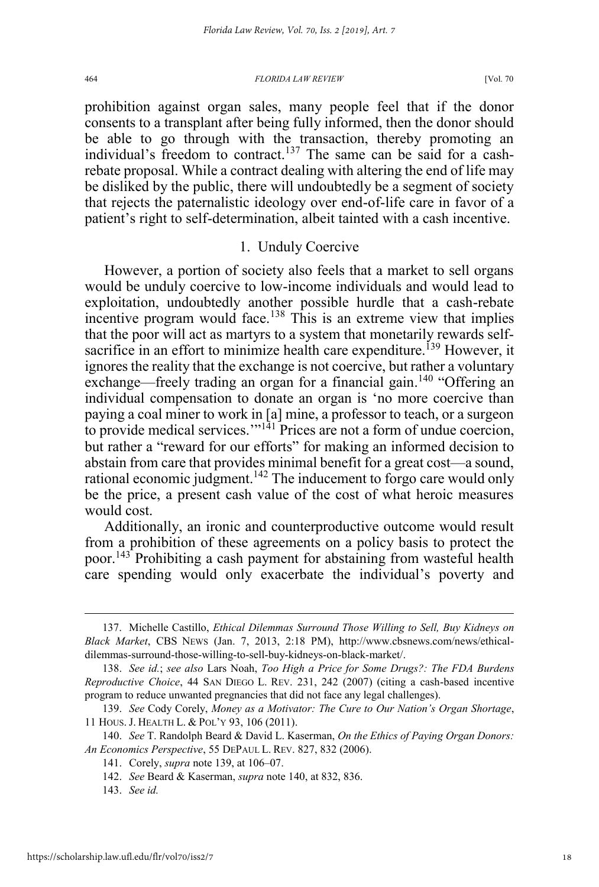prohibition against organ sales, many people feel that if the donor consents to a transplant after being fully informed, then the donor should be able to go through with the transaction, thereby promoting an individual's freedom to contract.<sup>137</sup> The same can be said for a cashrebate proposal. While a contract dealing with altering the end of life may be disliked by the public, there will undoubtedly be a segment of society that rejects the paternalistic ideology over end-of-life care in favor of a patient's right to self-determination, albeit tainted with a cash incentive.

## 1. Unduly Coercive

However, a portion of society also feels that a market to sell organs would be unduly coercive to low-income individuals and would lead to exploitation, undoubtedly another possible hurdle that a cash-rebate incentive program would face.<sup>138</sup> This is an extreme view that implies that the poor will act as martyrs to a system that monetarily rewards selfsacrifice in an effort to minimize health care expenditure.<sup>139</sup> However, it ignores the reality that the exchange is not coercive, but rather a voluntary exchange—freely trading an organ for a financial gain.<sup>140</sup> "Offering an individual compensation to donate an organ is 'no more coercive than paying a coal miner to work in [a] mine, a professor to teach, or a surgeon to provide medical services.'"<sup>141</sup> Prices are not a form of undue coercion, but rather a "reward for our efforts" for making an informed decision to abstain from care that provides minimal benefit for a great cost—a sound, rational economic judgment.<sup>142</sup> The inducement to forgo care would only be the price, a present cash value of the cost of what heroic measures would cost.

Additionally, an ironic and counterproductive outcome would result from a prohibition of these agreements on a policy basis to protect the poor.143 Prohibiting a cash payment for abstaining from wasteful health care spending would only exacerbate the individual's poverty and

143. *See id.*

 <sup>137.</sup> Michelle Castillo, *Ethical Dilemmas Surround Those Willing to Sell, Buy Kidneys on Black Market*, CBS NEWS (Jan. 7, 2013, 2:18 PM), http://www.cbsnews.com/news/ethicaldilemmas-surround-those-willing-to-sell-buy-kidneys-on-black-market/.

<sup>138.</sup> *See id.*; *see also* Lars Noah, *Too High a Price for Some Drugs?: The FDA Burdens Reproductive Choice*, 44 SAN DIEGO L. REV. 231, 242 (2007) (citing a cash-based incentive program to reduce unwanted pregnancies that did not face any legal challenges).

<sup>139.</sup> *See* Cody Corely, *Money as a Motivator: The Cure to Our Nation's Organ Shortage*, 11 HOUS. J. HEALTH L. & POL'Y 93, 106 (2011).

<sup>140.</sup> *See* T. Randolph Beard & David L. Kaserman, *On the Ethics of Paying Organ Donors: An Economics Perspective*, 55 DEPAUL L. REV. 827, 832 (2006).

<sup>141.</sup> Corely, *supra* note 139, at 106–07.

<sup>142.</sup> *See* Beard & Kaserman, *supra* note 140, at 832, 836.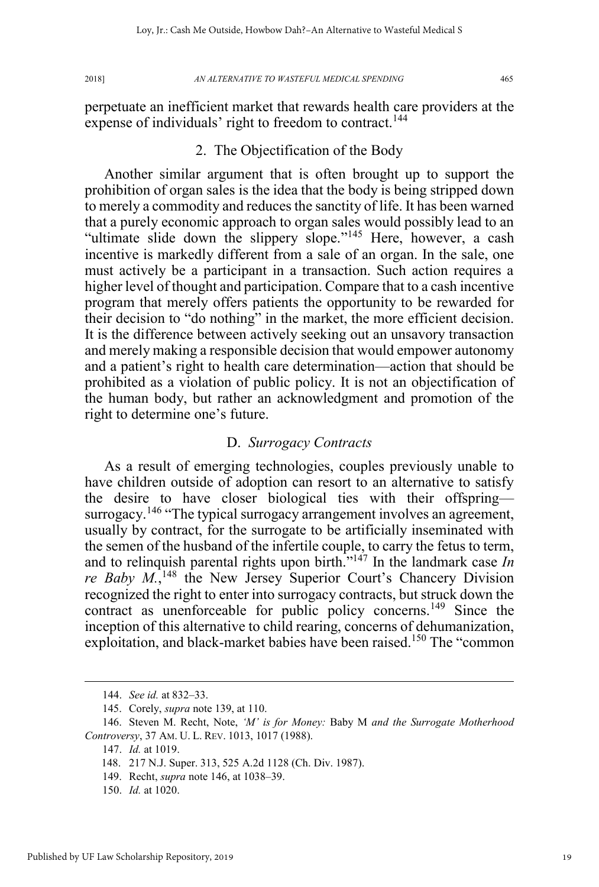perpetuate an inefficient market that rewards health care providers at the expense of individuals' right to freedom to contract.<sup>144</sup>

## 2. The Objectification of the Body

Another similar argument that is often brought up to support the prohibition of organ sales is the idea that the body is being stripped down to merely a commodity and reduces the sanctity of life. It has been warned that a purely economic approach to organ sales would possibly lead to an "ultimate slide down the slippery slope."<sup>145</sup> Here, however, a cash incentive is markedly different from a sale of an organ. In the sale, one must actively be a participant in a transaction. Such action requires a higher level of thought and participation. Compare that to a cash incentive program that merely offers patients the opportunity to be rewarded for their decision to "do nothing" in the market, the more efficient decision. It is the difference between actively seeking out an unsavory transaction and merely making a responsible decision that would empower autonomy and a patient's right to health care determination—action that should be prohibited as a violation of public policy. It is not an objectification of the human body, but rather an acknowledgment and promotion of the right to determine one's future.

#### D. *Surrogacy Contracts*

As a result of emerging technologies, couples previously unable to have children outside of adoption can resort to an alternative to satisfy the desire to have closer biological ties with their offspring surrogacy.<sup>146</sup> "The typical surrogacy arrangement involves an agreement, usually by contract, for the surrogate to be artificially inseminated with the semen of the husband of the infertile couple, to carry the fetus to term, and to relinquish parental rights upon birth."<sup>147</sup> In the landmark case *In*  re Baby M.,<sup>148</sup> the New Jersey Superior Court's Chancery Division recognized the right to enter into surrogacy contracts, but struck down the contract as unenforceable for public policy concerns.<sup>149</sup> Since the inception of this alternative to child rearing, concerns of dehumanization, exploitation, and black-market babies have been raised.<sup>150</sup> The "common

150. *Id.* at 1020.

 <sup>144.</sup> *See id.* at 832–33.

<sup>145.</sup> Corely, *supra* note 139, at 110.

<sup>146.</sup> Steven M. Recht, Note, *'M' is for Money:* Baby M *and the Surrogate Motherhood Controversy*, 37 AM. U. L. REV. 1013, 1017 (1988).

<sup>147.</sup> *Id.* at 1019.

<sup>148. 217</sup> N.J. Super. 313, 525 A.2d 1128 (Ch. Div. 1987).

<sup>149.</sup> Recht, *supra* note 146, at 1038–39.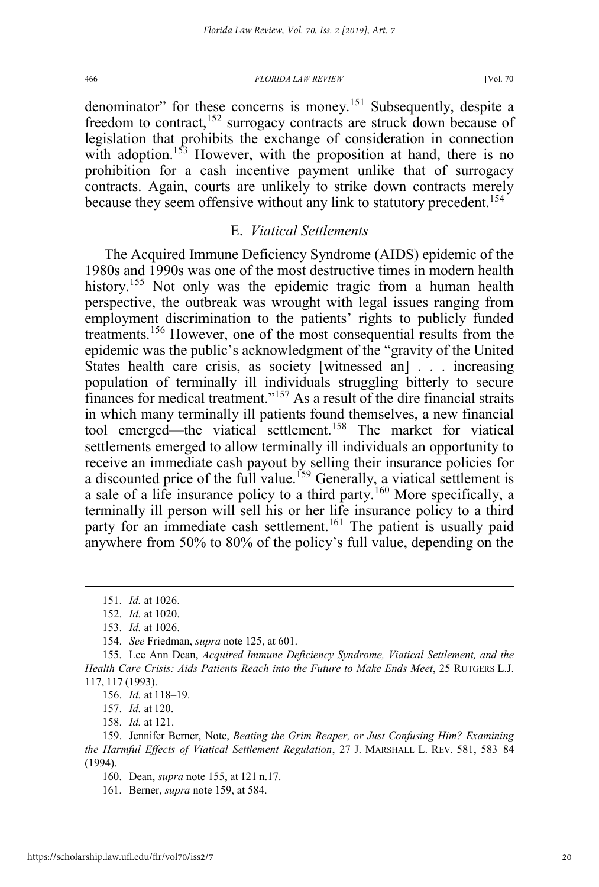denominator" for these concerns is money.<sup>151</sup> Subsequently, despite a freedom to contract,<sup>152</sup> surrogacy contracts are struck down because of legislation that prohibits the exchange of consideration in connection with adoption.<sup>153</sup> However, with the proposition at hand, there is no prohibition for a cash incentive payment unlike that of surrogacy contracts. Again, courts are unlikely to strike down contracts merely because they seem offensive without any link to statutory precedent.<sup>154</sup>

#### E. *Viatical Settlements*

The Acquired Immune Deficiency Syndrome (AIDS) epidemic of the 1980s and 1990s was one of the most destructive times in modern health history.<sup>155</sup> Not only was the epidemic tragic from a human health perspective, the outbreak was wrought with legal issues ranging from employment discrimination to the patients' rights to publicly funded treatments.<sup>156</sup> However, one of the most consequential results from the epidemic was the public's acknowledgment of the "gravity of the United States health care crisis, as society [witnessed an] . . . increasing population of terminally ill individuals struggling bitterly to secure finances for medical treatment."<sup>157</sup> As a result of the dire financial straits in which many terminally ill patients found themselves, a new financial tool emerged—the viatical settlement.<sup>158</sup> The market for viatical settlements emerged to allow terminally ill individuals an opportunity to receive an immediate cash payout by selling their insurance policies for a discounted price of the full value.<sup>159</sup> Generally, a viatical settlement is a sale of a life insurance policy to a third party.<sup>160</sup> More specifically, a terminally ill person will sell his or her life insurance policy to a third party for an immediate cash settlement.<sup>161</sup> The patient is usually paid anywhere from 50% to 80% of the policy's full value, depending on the

 <sup>151.</sup> *Id.* at 1026.

<sup>152.</sup> *Id.* at 1020.

<sup>153.</sup> *Id.* at 1026.

<sup>154.</sup> *See* Friedman, *supra* note 125, at 601.

<sup>155.</sup> Lee Ann Dean, *Acquired Immune Deficiency Syndrome, Viatical Settlement, and the Health Care Crisis: Aids Patients Reach into the Future to Make Ends Meet*, 25 RUTGERS L.J. 117, 117 (1993).

<sup>156.</sup> *Id.* at 118–19.

<sup>157.</sup> *Id.* at 120.

<sup>158.</sup> *Id.* at 121.

<sup>159.</sup> Jennifer Berner, Note, *Beating the Grim Reaper, or Just Confusing Him? Examining the Harmful Effects of Viatical Settlement Regulation*, 27 J. MARSHALL L. REV. 581, 583–84 (1994).

<sup>160.</sup> Dean, *supra* note 155, at 121 n.17.

<sup>161.</sup> Berner, *supra* note 159, at 584.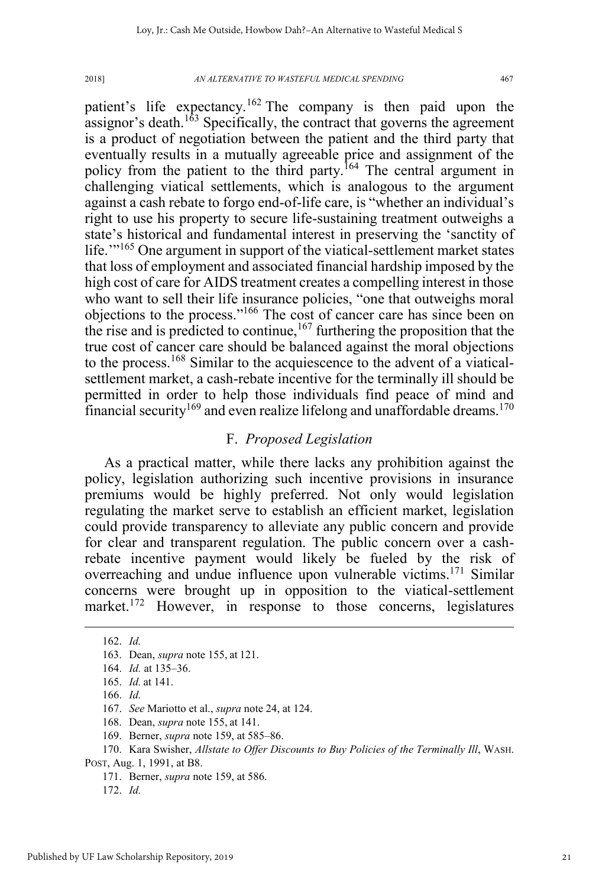patient's life expectancy.<sup>162</sup> The company is then paid upon the assignor's death.<sup>163</sup> Specifically, the contract that governs the agreement is a product of negotiation between the patient and the third party that eventually results in a mutually agreeable price and assignment of the policy from the patient to the third party.<sup>164</sup> The central argument in challenging viatical settlements, which is analogous to the argument against a cash rebate to forgo end-of-life care, is "whether an individual's right to use his property to secure life-sustaining treatment outweighs a state's historical and fundamental interest in preserving the 'sanctity of life."<sup>165</sup> One argument in support of the viatical-settlement market states that loss of employment and associated financial hardship imposed by the high cost of care for AIDS treatment creates a compelling interest in those who want to sell their life insurance policies, "one that outweighs moral objections to the process."<sup>166</sup> The cost of cancer care has since been on the rise and is predicted to continue,  $167$  furthering the proposition that the true cost of cancer care should be balanced against the moral objections to the process.<sup>168</sup> Similar to the acquiescence to the advent of a viaticalsettlement market, a cash-rebate incentive for the terminally ill should be permitted in order to help those individuals find peace of mind and financial security<sup>169</sup> and even realize lifelong and unaffordable dreams.<sup>170</sup>

#### F. *Proposed Legislation*

As a practical matter, while there lacks any prohibition against the policy, legislation authorizing such incentive provisions in insurance premiums would be highly preferred. Not only would legislation regulating the market serve to establish an efficient market, legislation could provide transparency to alleviate any public concern and provide for clear and transparent regulation. The public concern over a cashrebate incentive payment would likely be fueled by the risk of overreaching and undue influence upon vulnerable victims.<sup>171</sup> Similar concerns were brought up in opposition to the viatical-settlement market.<sup>172</sup> However, in response to those concerns, legislatures

 <sup>162.</sup> *Id.*

<sup>163.</sup> Dean, *supra* note 155, at 121.

<sup>164.</sup> *Id.* at 135–36.

<sup>165.</sup> *Id.* at 141.

<sup>166.</sup> *Id.*

<sup>167.</sup> *See* Mariotto et al., *supra* note 24, at 124.

<sup>168.</sup> Dean, *supra* note 155, at 141.

<sup>169.</sup> Berner, *supra* note 159, at 585–86.

<sup>170.</sup> Kara Swisher, *Allstate to Offer Discounts to Buy Policies of the Terminally Ill*, WASH. POST, Aug. 1, 1991, at B8.

<sup>171.</sup> Berner, *supra* note 159, at 586.

<sup>172.</sup> *Id.*